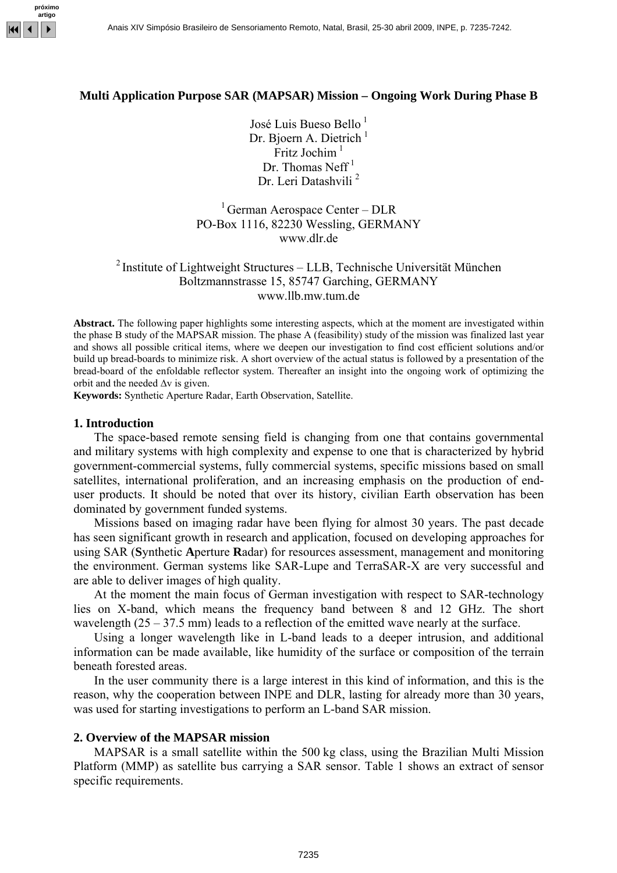

#### **Multi Application Purpose SAR (MAPSAR) Mission – Ongoing Work During Phase B**

José Luis Bueso Bello<sup>1</sup> Dr. Bioern A. Dietrich $<sup>1</sup>$ </sup> Fritz Jochim $<sup>1</sup>$ </sup> Dr. Thomas Neff<sup>1</sup> Dr. Leri Datashvili<sup>2</sup>

<sup>1</sup> German Aerospace Center – DLR PO-Box 1116, 82230 Wessling, GERMANY www.dlr.de

# <sup>2</sup> Institute of Lightweight Structures – LLB, Technische Universität München Boltzmannstrasse 15, 85747 Garching, GERMANY www.llb.mw.tum.de

**Abstract.** The following paper highlights some interesting aspects, which at the moment are investigated within the phase B study of the MAPSAR mission. The phase A (feasibility) study of the mission was finalized last year and shows all possible critical items, where we deepen our investigation to find cost efficient solutions and/or build up bread-boards to minimize risk. A short overview of the actual status is followed by a presentation of the bread-board of the enfoldable reflector system. Thereafter an insight into the ongoing work of optimizing the orbit and the needed  $\Delta v$  is given.

**Keywords:** Synthetic Aperture Radar, Earth Observation, Satellite.

#### **1. Introduction**

The space-based remote sensing field is changing from one that contains governmental and military systems with high complexity and expense to one that is characterized by hybrid government-commercial systems, fully commercial systems, specific missions based on small satellites, international proliferation, and an increasing emphasis on the production of enduser products. It should be noted that over its history, civilian Earth observation has been dominated by government funded systems.

Missions based on imaging radar have been flying for almost 30 years. The past decade has seen significant growth in research and application, focused on developing approaches for using SAR (**S**ynthetic **A**perture **R**adar) for resources assessment, management and monitoring the environment. German systems like SAR-Lupe and TerraSAR-X are very successful and are able to deliver images of high quality.

At the moment the main focus of German investigation with respect to SAR-technology lies on X-band, which means the frequency band between 8 and 12 GHz. The short wavelength (25 – 37.5 mm) leads to a reflection of the emitted wave nearly at the surface.

Using a longer wavelength like in L-band leads to a deeper intrusion, and additional information can be made available, like humidity of the surface or composition of the terrain beneath forested areas.

In the user community there is a large interest in this kind of information, and this is the reason, why the cooperation between INPE and DLR, lasting for already more than 30 years, was used for starting investigations to perform an L-band SAR mission.

#### **2. Overview of the MAPSAR mission**

MAPSAR is a small satellite within the 500 kg class, using the Brazilian Multi Mission Platform (MMP) as satellite bus carrying a SAR sensor. Table 1 shows an extract of sensor specific requirements.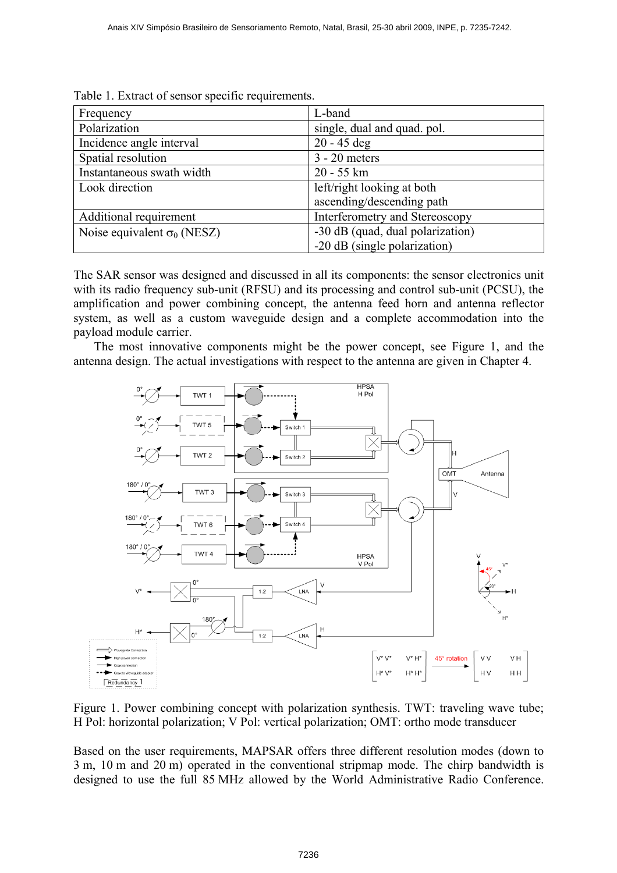| Frequency                          | L-band                           |
|------------------------------------|----------------------------------|
| Polarization                       | single, dual and quad. pol.      |
| Incidence angle interval           | $20 - 45$ deg                    |
| Spatial resolution                 | $3 - 20$ meters                  |
| Instantaneous swath width          | $20 - 55$ km                     |
| Look direction                     | left/right looking at both       |
|                                    | ascending/descending path        |
| Additional requirement             | Interferometry and Stereoscopy   |
| Noise equivalent $\sigma_0$ (NESZ) | -30 dB (quad, dual polarization) |
|                                    | -20 dB (single polarization)     |

Table 1. Extract of sensor specific requirements.

The SAR sensor was designed and discussed in all its components: the sensor electronics unit with its radio frequency sub-unit (RFSU) and its processing and control sub-unit (PCSU), the amplification and power combining concept, the antenna feed horn and antenna reflector system, as well as a custom waveguide design and a complete accommodation into the payload module carrier.

The most innovative components might be the power concept, see Figure 1, and the antenna design. The actual investigations with respect to the antenna are given in Chapter 4.



Figure 1. Power combining concept with polarization synthesis. TWT: traveling wave tube; H Pol: horizontal polarization; V Pol: vertical polarization; OMT: ortho mode transducer

Based on the user requirements, MAPSAR offers three different resolution modes (down to 3 m, 10 m and 20 m) operated in the conventional stripmap mode. The chirp bandwidth is designed to use the full 85 MHz allowed by the World Administrative Radio Conference.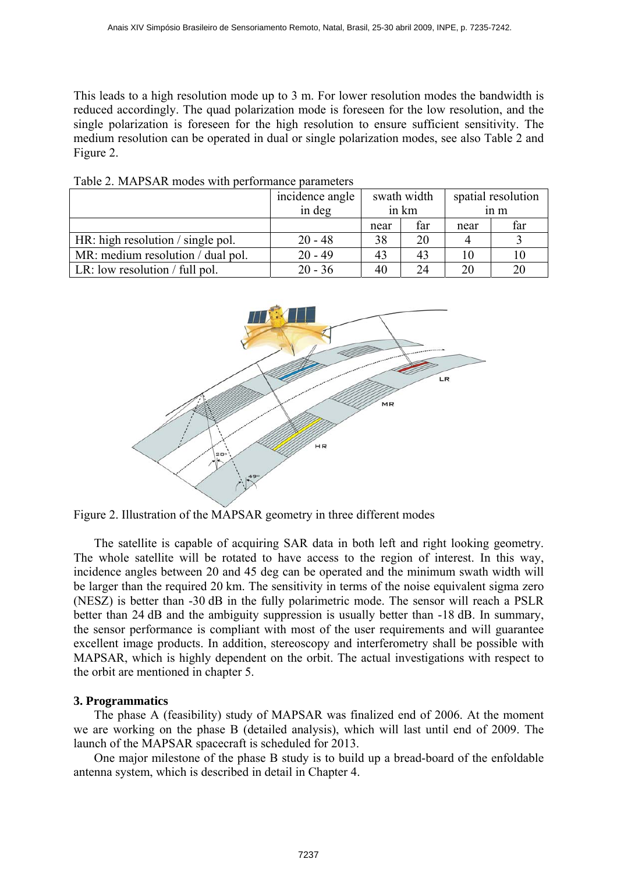This leads to a high resolution mode up to 3 m. For lower resolution modes the bandwidth is reduced accordingly. The quad polarization mode is foreseen for the low resolution, and the single polarization is foreseen for the high resolution to ensure sufficient sensitivity. The medium resolution can be operated in dual or single polarization modes, see also Table 2 and Figure 2.

|                                   | incidence angle | swath width |       | spatial resolution |                 |
|-----------------------------------|-----------------|-------------|-------|--------------------|-----------------|
|                                   | in deg          |             | in km |                    | 1n <sub>m</sub> |
|                                   |                 | near        | far   | near               | far             |
| HR: high resolution / single pol. | $20 - 48$       | 38          | 20    |                    |                 |
| MR: medium resolution / dual pol. | $20 - 49$       | 43          | 43    | 10                 | 10              |
| LR: low resolution $/$ full pol.  | $20 - 36$       | 40          | 24    | 20                 | 20              |

Table 2. MAPSAR modes with performance parameters



Figure 2. Illustration of the MAPSAR geometry in three different modes

The satellite is capable of acquiring SAR data in both left and right looking geometry. The whole satellite will be rotated to have access to the region of interest. In this way, incidence angles between 20 and 45 deg can be operated and the minimum swath width will be larger than the required 20 km. The sensitivity in terms of the noise equivalent sigma zero (NESZ) is better than -30 dB in the fully polarimetric mode. The sensor will reach a PSLR better than 24 dB and the ambiguity suppression is usually better than -18 dB. In summary, the sensor performance is compliant with most of the user requirements and will guarantee excellent image products. In addition, stereoscopy and interferometry shall be possible with MAPSAR, which is highly dependent on the orbit. The actual investigations with respect to the orbit are mentioned in chapter 5.

## **3. Programmatics**

The phase A (feasibility) study of MAPSAR was finalized end of 2006. At the moment we are working on the phase B (detailed analysis), which will last until end of 2009. The launch of the MAPSAR spacecraft is scheduled for 2013.

One major milestone of the phase B study is to build up a bread-board of the enfoldable antenna system, which is described in detail in Chapter 4.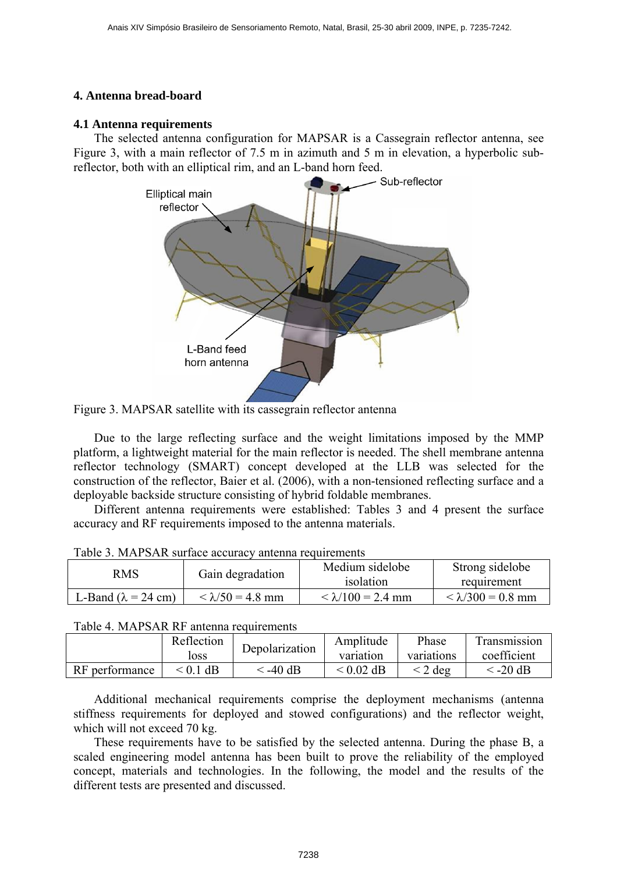# **4. Antenna bread-board**

## **4.1 Antenna requirements**

The selected antenna configuration for MAPSAR is a Cassegrain reflector antenna, see Figure 3, with a main reflector of 7.5 m in azimuth and 5 m in elevation, a hyperbolic subreflector, both with an elliptical rim, and an L-band horn feed.



Figure 3. MAPSAR satellite with its cassegrain reflector antenna

Due to the large reflecting surface and the weight limitations imposed by the MMP platform, a lightweight material for the main reflector is needed. The shell membrane antenna reflector technology (SMART) concept developed at the LLB was selected for the construction of the reflector, Baier et al. (2006), with a non-tensioned reflecting surface and a deployable backside structure consisting of hybrid foldable membranes.

Different antenna requirements were established: Tables 3 and 4 present the surface accuracy and RF requirements imposed to the antenna materials.

| Tuble 5. I'll 11 St 110 Surface accuracy antenna requirements |                         |                          |                          |  |  |  |
|---------------------------------------------------------------|-------------------------|--------------------------|--------------------------|--|--|--|
| RMS                                                           | Gain degradation        | Medium sidelobe          | Strong sidelobe          |  |  |  |
|                                                               |                         | isolation                | requirement              |  |  |  |
| L-Band ( $\lambda$ = 24 cm)                                   | $< \lambda/50 = 4.8$ mm | $< \lambda/100 = 2.4$ mm | $< \lambda/300 = 0.8$ mm |  |  |  |

| Table 3. MAPSAR surface accuracy antenna requirements |  |  |  |  |
|-------------------------------------------------------|--|--|--|--|
|-------------------------------------------------------|--|--|--|--|

## Table 4. MAPSAR RF antenna requirements

|                | Reflection<br>loss | Depolarization | Amplitude<br>variation | Phase<br>variations | Fransmission<br>coefficient |
|----------------|--------------------|----------------|------------------------|---------------------|-----------------------------|
| RF performance | $\leq$ 0.1 dB      | < -40 dB       | $< 0.02$ dB            | deg                 | $<$ -20 dB                  |

Additional mechanical requirements comprise the deployment mechanisms (antenna stiffness requirements for deployed and stowed configurations) and the reflector weight, which will not exceed 70 kg.

These requirements have to be satisfied by the selected antenna. During the phase B, a scaled engineering model antenna has been built to prove the reliability of the employed concept, materials and technologies. In the following, the model and the results of the different tests are presented and discussed.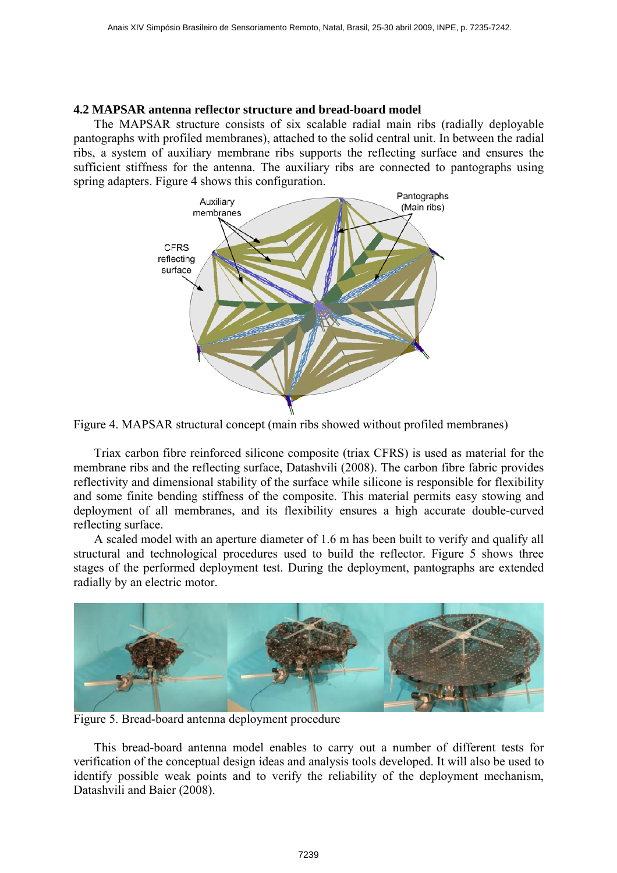## **4.2 MAPSAR antenna reflector structure and bread-board model**

The MAPSAR structure consists of six scalable radial main ribs (radially deployable pantographs with profiled membranes), attached to the solid central unit. In between the radial ribs, a system of auxiliary membrane ribs supports the reflecting surface and ensures the sufficient stiffness for the antenna. The auxiliary ribs are connected to pantographs using spring adapters. Figure 4 shows this configuration.





Triax carbon fibre reinforced silicone composite (triax CFRS) is used as material for the membrane ribs and the reflecting surface, Datashvili (2008). The carbon fibre fabric provides reflectivity and dimensional stability of the surface while silicone is responsible for flexibility and some finite bending stiffness of the composite. This material permits easy stowing and deployment of all membranes, and its flexibility ensures a high accurate double-curved reflecting surface.

A scaled model with an aperture diameter of 1.6 m has been built to verify and qualify all structural and technological procedures used to build the reflector. Figure 5 shows three stages of the performed deployment test. During the deployment, pantographs are extended radially by an electric motor.



Figure 5. Bread-board antenna deployment procedure

This bread-board antenna model enables to carry out a number of different tests for verification of the conceptual design ideas and analysis tools developed. It will also be used to identify possible weak points and to verify the reliability of the deployment mechanism, Datashvili and Baier (2008).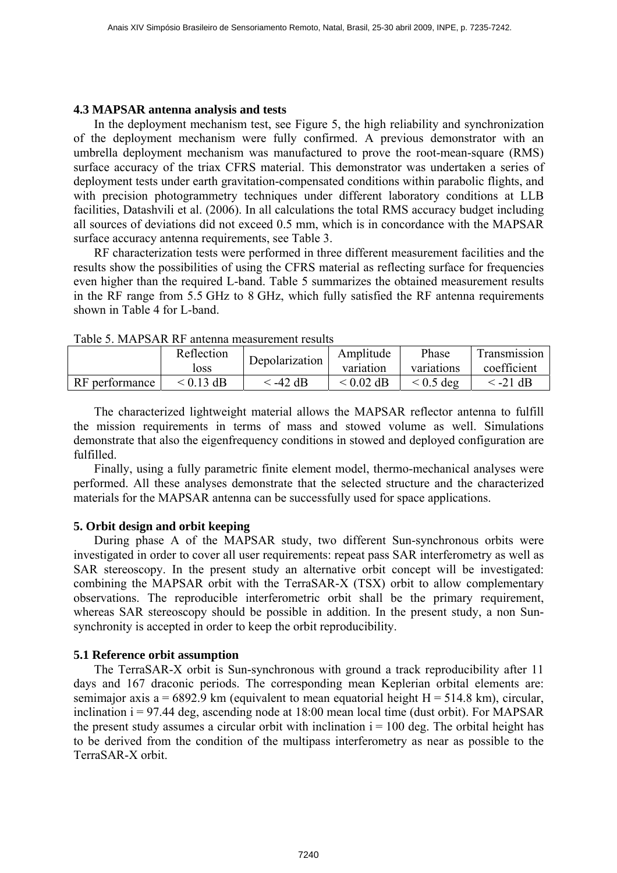#### **4.3 MAPSAR antenna analysis and tests**

In the deployment mechanism test, see Figure 5, the high reliability and synchronization of the deployment mechanism were fully confirmed. A previous demonstrator with an umbrella deployment mechanism was manufactured to prove the root-mean-square (RMS) surface accuracy of the triax CFRS material. This demonstrator was undertaken a series of deployment tests under earth gravitation-compensated conditions within parabolic flights, and with precision photogrammetry techniques under different laboratory conditions at LLB facilities, Datashvili et al. (2006). In all calculations the total RMS accuracy budget including all sources of deviations did not exceed 0.5 mm, which is in concordance with the MAPSAR surface accuracy antenna requirements, see Table 3.

RF characterization tests were performed in three different measurement facilities and the results show the possibilities of using the CFRS material as reflecting surface for frequencies even higher than the required L-band. Table 5 summarizes the obtained measurement results in the RF range from 5.5 GHz to 8 GHz, which fully satisfied the RF antenna requirements shown in Table 4 for L-band.

|                | Reflection<br>loss | Depolarization | Amplitude<br>variation | Phase<br>variations | Transmission<br>coefficient |
|----------------|--------------------|----------------|------------------------|---------------------|-----------------------------|
| RF performance | $<$ 0.13 dB        | : -42 dB       | $<$ 0.02 dB            | $\leq 0.5$ deg      | $\leq$ -21 dB               |

|  |  | Table 5. MAPSAR RF antenna measurement results |
|--|--|------------------------------------------------|
|--|--|------------------------------------------------|

The characterized lightweight material allows the MAPSAR reflector antenna to fulfill the mission requirements in terms of mass and stowed volume as well. Simulations demonstrate that also the eigenfrequency conditions in stowed and deployed configuration are fulfilled.

Finally, using a fully parametric finite element model, thermo-mechanical analyses were performed. All these analyses demonstrate that the selected structure and the characterized materials for the MAPSAR antenna can be successfully used for space applications.

## **5. Orbit design and orbit keeping**

During phase A of the MAPSAR study, two different Sun-synchronous orbits were investigated in order to cover all user requirements: repeat pass SAR interferometry as well as SAR stereoscopy. In the present study an alternative orbit concept will be investigated: combining the MAPSAR orbit with the TerraSAR-X (TSX) orbit to allow [complementary](http://dict.leo.org/ende?lp=ende&p=thMx..&search=complementary) observations. The reproducible interferometric orbit shall be the primary requirement, whereas SAR stereoscopy should be possible in addition. In the present study, a non Sunsynchronity is accepted in order to keep the orbit reproducibility.

## **5.1 Reference orbit assumption**

The TerraSAR-X orbit is Sun-synchronous with ground a track reproducibility after 11 days and 167 draconic periods. The corresponding mean Keplerian orbital elements are: semimajor axis a = 6892.9 km (equivalent to mean equatorial height  $H = 514.8$  km), circular, inclination  $i = 97.44$  deg, ascending node at 18:00 mean local time (dust orbit). For MAPSAR the present study assumes a circular orbit with inclination  $i = 100$  deg. The orbital height has to be derived from the condition of the multipass interferometry as near as possible to the TerraSAR-X orbit.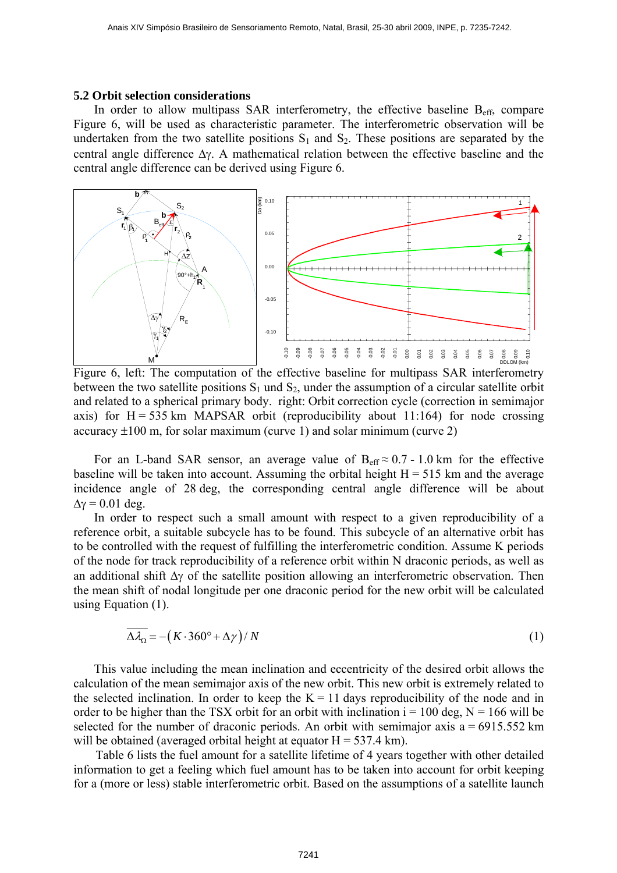#### **5.2 Orbit selection considerations**

In order to allow multipass SAR interferometry, the effective baseline  $B_{\text{eff}}$ , compare Figure 6, will be used as characteristic parameter. The interferometric observation will be undertaken from the two satellite positions  $S_1$  and  $S_2$ . These positions are separated by the central angle difference Δγ. A mathematical relation between the effective baseline and the central angle difference can be derived using Figure 6.



Figure 6, left: The computation of the effective baseline for multipass SAR interferometry between the two satellite positions  $S_1$  und  $S_2$ , under the assumption of a circular satellite orbit and related to a spherical primary body. right: Orbit correction cycle (correction in semimajor axis) for  $H = 535$  km MAPSAR orbit (reproducibility about 11:164) for node crossing accuracy  $\pm 100$  m, for solar maximum (curve 1) and solar minimum (curve 2)

For an L-band SAR sensor, an average value of  $B_{\text{eff}} \approx 0.7 - 1.0$  km for the effective baseline will be taken into account. Assuming the orbital height  $H = 515$  km and the average incidence angle of 28 deg, the corresponding central angle difference will be about  $\Delta y = 0.01$  deg.

In order to respect such a small amount with respect to a given reproducibility of a reference orbit, a suitable subcycle has to be found. This subcycle of an alternative orbit has to be controlled with the request of fulfilling the interferometric condition. Assume K periods of the node for track reproducibility of a reference orbit within N draconic periods, as well as an additional shift  $\Delta \gamma$  of the satellite position allowing an interferometric observation. Then the mean shift of nodal longitude per one draconic period for the new orbit will be calculated using Equation (1).

$$
\overline{\Delta \lambda_{\Omega}} = -\left(K \cdot 360^{\circ} + \Delta \gamma\right) / N \tag{1}
$$

This value including the mean inclination and eccentricity of the desired orbit allows the calculation of the mean semimajor axis of the new orbit. This new orbit is extremely related to the selected inclination. In order to keep the  $K = 11$  days reproducibility of the node and in order to be higher than the TSX orbit for an orbit with inclination  $i = 100$  deg,  $N = 166$  will be selected for the number of draconic periods. An orbit with semimajor axis  $a = 6915.552$  km will be obtained (averaged orbital height at equator  $H = 537.4$  km).

Table 6 lists the fuel amount for a satellite lifetime of 4 years together with other detailed information to get a feeling which fuel amount has to be taken into account for orbit keeping for a (more or less) stable interferometric orbit. Based on the assumptions of a satellite launch